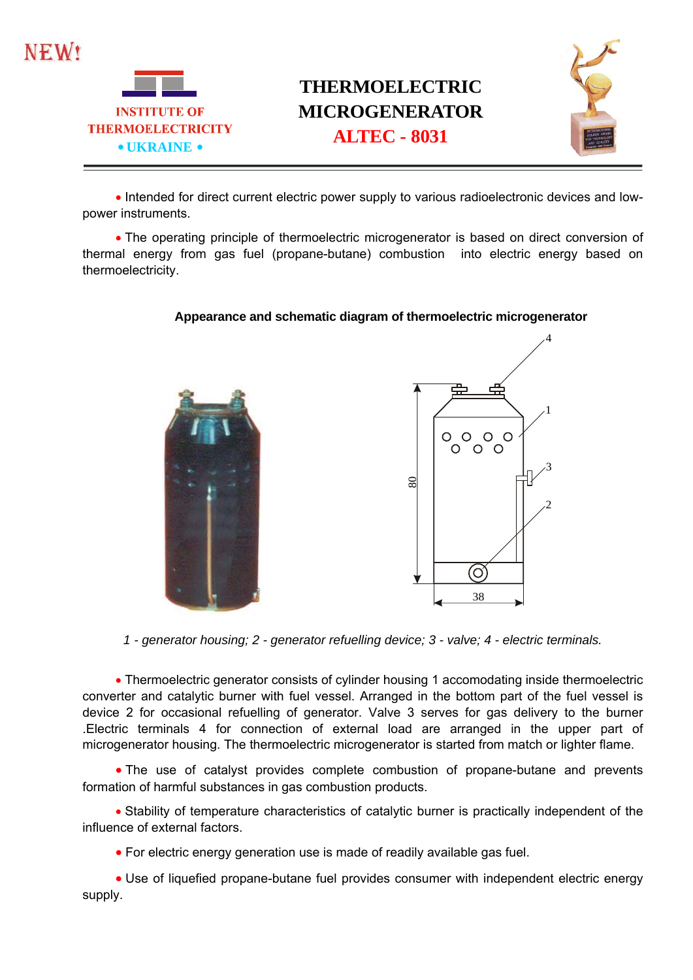



## **THERMOELECTRIC MICROGENERATOR** THERMOELECTRICITY<br> **ALTEC - 8031**<br> **ALTEC - 8031**



• Intended for direct current electric power supply to various radioelectronic devices and lowpower instruments.

 The operating principle of thermoelectric microgenerator is based on direct conversion of thermal energy from gas fuel (propane-butane) combustion into electric energy based on thermoelectricity.

## **Appearance and schematic diagram of thermoelectric microgenerator**



*1 - generator housing; 2 - generator refuelling device; 3 - valve; 4 - electric terminals.* 

 Thermoelectric generator consists of cylinder housing 1 accomodating inside thermoelectric converter and catalytic burner with fuel vessel. Arranged in the bottom part of the fuel vessel is device 2 for occasional refuelling of generator. Valve 3 serves for gas delivery to the burner .Electric terminals 4 for connection of external load are arranged in the upper part of microgenerator housing. The thermoelectric microgenerator is started from match or lighter flame.

• The use of catalyst provides complete combustion of propane-butane and prevents formation of harmful substances in gas combustion products.

 Stability of temperature characteristics of catalytic burner is practically independent of the influence of external factors.

For electric energy generation use is made of readily available gas fuel.

 Use of liquefied propane-butane fuel provides consumer with independent electric energy supply.